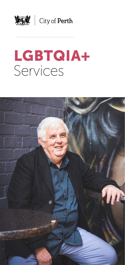

**好談** | City of Perth

# LGBTQIA+ Services

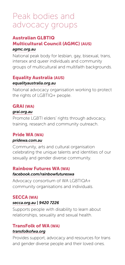### Peak bodies and advocacy groups

#### Australian GLBTIQ Multicultural Council (AGMC) (AUS) *[agmc.org.au](https://www.agmc.org.au/)*

National peak body for lesbian, gay, bisexual, trans, intersex and queer individuals and community groups of multicultural and multifaith backgrounds.

#### Equality Australia (AUS)

#### *[equalityaustralia.org.au](https://equalityaustralia.org.au/)*

National advocacy organisation working to protect the rights of LGBTIQ+ people.

#### GRAI (WA)

#### *[grai.org.au](https://grai.org.au/)*

Promote LGBTI elders' rights through advocacy, training, research and community outreach.

#### Pride WA (WA)

#### *[pridewa.com.au](https://www.pridewa.com.au/)*

Community, arts and cultural organisation celebrating the unique talents and identities of our sexually and gender diverse community.

#### Rainbow Futures WA (WA)

#### *[facebook.com/rainbowfutureswa](https://www.facebook.com/rainbowfutureswa)*

Advocacy consortium of WA LGBTIQA+ community organisations and individuals.

#### SECCA (WA)

#### *[secca.org.au](https://www.secca.org.au/) | 9420 7226*

Supports people with disability to learn about relationships, sexuality and sexual health.

### TransFolk of WA (WA)

#### *[transfolkofwa.org](http://transfolkofwa.org/)*

Provides support, advocacy and resources for trans and gender diverse people and their loved ones.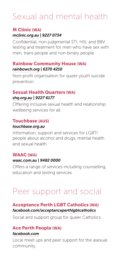### Sexual and mental health

#### M Clinic (WA)

#### *[mclinic.org.au](https://www.mclinic.org.au/) | 9227 0734*

Confidential, non-judgmental STI, HIV, and BBV testing and treatment for men who have sex with men, trans people and non-binary people.

#### Rainbow Community House (WA) *[rainbowch.org](https://rainbowch.org/) | 6370 4210*

Non-profit organisation for queer youth suicide prevention.

#### Sexual Health Quarters (WA)

#### *[shq.org.au](https://shq.org.au/) | 9227 6177*

Offering inclusive sexual health and relationship wellbeing services for all.

#### Touchbase (AUS)

#### *[touchbase.org.au](https://touchbase.org.au/)*

Information, support and services for LGBTI people about alcohol and drugs, mental health and sexual health.

#### WAAC (WA)

#### *[waac.com.au](https://www.waac.com.au/) | 9482 0000*

Offers a range of services including counselling, education and testing services.

# Peer support and social

#### Acceptance Perth LGBT Catholics (WA) *[facebook.com/acceptanceperthlgbtcatholics](https://www.facebook.com/acceptanceperthlgbtcatholics)*

Social and support group for queer Catholics.

#### Ace Perth People (WA) *[facebook](https://www.facebook.com/groups/180279383714?form=MY01SV&OCID=MY01SV).com*

Local meet ups and peer support for the asexual community.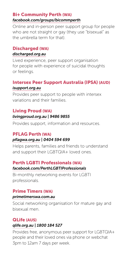#### Bi+ Community Perth (WA) *[facebook.com/groups/bicommperth](https://www.facebook.com/groups/bicommperth)*

Online and in-person peer support group for people who are not straight or gay (they use "bisexual" as the umbrella term for that).

#### Discharged (WA)

#### *[discharged.org.au](https://www.discharged.org.au/)*

Lived experience, peer support organisation for people with experience of suicidal thoughts or feelings.

#### Intersex Peer Support Australia (IPSA) (AUD) *[isupport.org.au](https://isupport.org.au/)*

Provides peer support to people with intersex variations and their families.

#### Living Proud (WA)

#### *[livingproud.org.au](http://livingproud.org.au/) | 9486 9855*

Provides support, information and resources.

### PFLAG Perth (WA)

#### *[pflagwa.org.au](https://www.pflagwa.org.au/) | 0404 594 699*

Helps parents, families and friends to understand and support their LGBTQIA+ loved ones.

#### Perth LGBTI Professionals (WA)

#### *[facebook.com/PerthLGBTIProfessionals](https://www.facebook.com/PerthLGBTIProfessionals/)*

Bi-monthly networking events for LGBTI professionals.

#### Prime Timers (WA)

#### *[primetimerswa.com.au](http://www.primetimerswa.com.au/)*

Social networking organisation for mature gay and bisexual men.

#### QLife (AUS) *[qlife.org.au](https://qlife.org.au/) | 1800 184 527*

Provides free, anonymous peer support for LGBTQIA+ people and their loved ones via phone or webchat 3pm to 12am 7 days per week.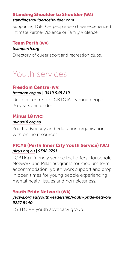#### Standing Shoulder to Shoulder (WA) *[standingshouldertoshoulder.com](https://www.standingshouldertoshoulder.com/)*

Supporting LGBTQ+ people who have experienced Intimate Partner Violence or Family Violence.

### Team Perth (WA)

*[teamperth.org](https://www.teamperth.org/)*

Directory of queer sport and recreation clubs.

## Youth services

#### Freedom Centre (WA) *[freedom.org.au](http://freedom.org.au/) | 0419 945 219*

Drop in centre for LGBTQIA+ young people 26 years and under.

#### Minus 18 (VIC)

#### *[minus18.org.au](https://www.minus18.org.au/articles)*

Youth advocacy and education organisation with online resources

#### PICYS (Perth Inner City Youth Service) (WA) *[picys.org.au](https://picys.org.au/) | 9388 2791*

LGBTIQ+ friendly service that offers Household Network and Pillar programs for medium term accommodation, youth work support and drop in open times for young people experiencing mental health issues and homelessness.

#### Youth Pride Network (WA)

#### *[yacwa.org.au/youth-leadership/youth-pride-network](https://www.yacwa.org.au/youth-leadership/youth-pride-network/) 9227 5440*

LGBTQIA+ youth advocacy group.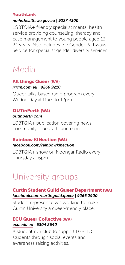#### YouthLink

#### *[nmhs.health.wa.gov.au](http://www.nmhs.health.wa.gov.au/Hospitals-and-Services/Mental-Health/Specialties/Youth) | 9227 4300*

LGBTQIA+ friendly specialist mental health service providing counselling, therapy and case management to young people aged 13- 24 years. Also includes the Gender Pathways Service for specialist gender diversity services.

# Media

#### All things Queer (WA) *[rtrfm.com.au](https://rtrfm.com.au/shows/allthingsqueer/) | 9260 9210*

Queer talks-based radio program every Wednesday at 11am to 12pm.

#### OUTinPerth (WA) *[outinperth.com](https://www.outinperth.com/)*

LGBTQIA+ publication covering news, community issues, arts and more.

#### Rainbow KINection (WA) *[facebook.com/rainbowkinection](https://www.facebook.com/rainbowkinection/)*

LGBTQIA+ show on Noongar Radio every Thursday at 6pm.

# University groups

#### Curtin Student Guild Queer Department (WA) *[facebook.com/curtinguild.queer](https://www.facebook.com/curtinguild.queer/) | 9266 2900*

Student representatives working to make Curtin University a queer-friendly place.

#### ECU Queer Collective (WA) *[ecu.edu.au](https://www.ecu.edu.au/about-ecu/commitment-to-equality-and-diversity/equity-diversity-and-inclusion/pride-at-ecu) | 6304 2640*

A student-run club to support LGBTIQ students through social events and awareness raising activities.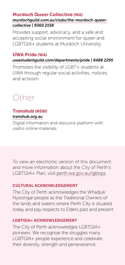#### Murdoch Queer Collective (WA)

#### *[murdochguild.com.au/clubs/the-murdoch-queer](http://www.murdochguild.com.au/clubs/the-murdoch-queer-collective/)[collective](http://www.murdochguild.com.au/clubs/the-murdoch-queer-collective/) | 9360 2158*

Provides support, advocacy, and a safe and accepting social environment for queer and LGBTQIA+ students at Murdoch University.

#### UWA Pride (WA)

#### *[uwastudentguild.com/departments/pride](https://www.uwastudentguild.com/departments/pride) | 6488 2295*

Promotes the visibility of LGBT+ students at UWA through regular social activities, notices, and activism.

### Other

#### Transhub (NSW) *[transhub.org.au](https://www.transhub.org.au/)*

Digital information and resource platform with useful online materials.

To view an electronic version of this document and more information about the City of Perth's LGBTQIA+ Plan, visit [perth.wa.gov.au/lgbtqia](http://perth.wa.gov.au/lgbtqia)

#### CULTURAL ACKNOWLEDGEMENT

The City of Perth acknowledges the Whadjuk Nyoongar people as the Traditional Owners of the lands and waters where Perth City is situated today and pay respects to Elders past and present.

#### LGBTQIA+ ACKNOWLEDGEMENT

The City of Perth acknowledges LGBTQIA+ pioneers. We recognise the struggles many LGBTQIA+ people experience and celebrate their diversity, strength and perseverance.